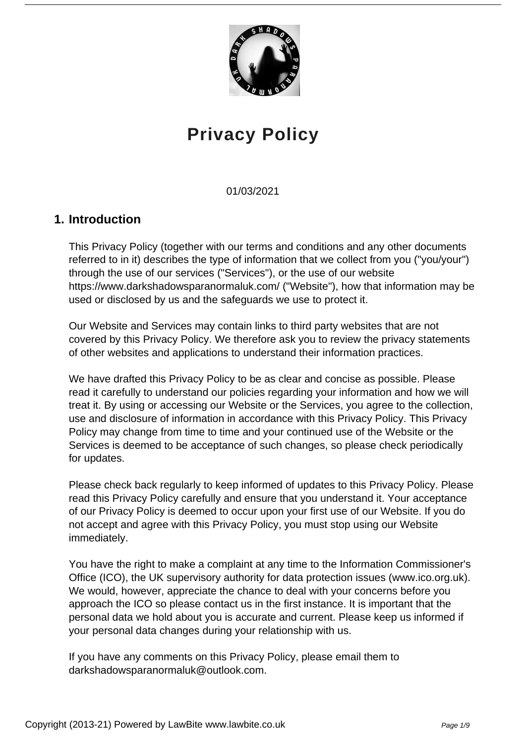

# **Privacy Policy**

01/03/2021

# **1. Introduction**

This Privacy Policy (together with our terms and conditions and any other documents referred to in it) describes the type of information that we collect from you ("you/your") through the use of our services ("Services"), or the use of our website https://www.darkshadowsparanormaluk.com/ ("Website"), how that information may be used or disclosed by us and the safeguards we use to protect it.

Our Website and Services may contain links to third party websites that are not covered by this Privacy Policy. We therefore ask you to review the privacy statements of other websites and applications to understand their information practices.

We have drafted this Privacy Policy to be as clear and concise as possible. Please read it carefully to understand our policies regarding your information and how we will treat it. By using or accessing our Website or the Services, you agree to the collection, use and disclosure of information in accordance with this Privacy Policy. This Privacy Policy may change from time to time and your continued use of the Website or the Services is deemed to be acceptance of such changes, so please check periodically for updates.

Please check back regularly to keep informed of updates to this Privacy Policy. Please read this Privacy Policy carefully and ensure that you understand it. Your acceptance of our Privacy Policy is deemed to occur upon your first use of our Website. If you do not accept and agree with this Privacy Policy, you must stop using our Website immediately.

You have the right to make a complaint at any time to the Information Commissioner's Office (ICO), the UK supervisory authority for data protection issues (www.ico.org.uk). We would, however, appreciate the chance to deal with your concerns before you approach the ICO so please contact us in the first instance. It is important that the personal data we hold about you is accurate and current. Please keep us informed if your personal data changes during your relationship with us.

If you have any comments on this Privacy Policy, please email them to darkshadowsparanormaluk@outlook.com.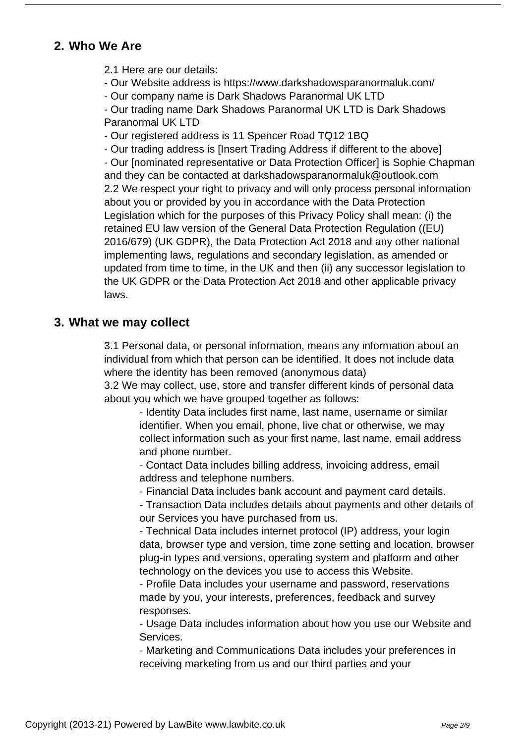# **2. Who We Are**

2.1 Here are our details:

- Our Website address is https://www.darkshadowsparanormaluk.com/
- Our company name is Dark Shadows Paranormal UK LTD

- Our trading name Dark Shadows Paranormal UK LTD is Dark Shadows Paranormal UK LTD

- Our registered address is 11 Spencer Road TQ12 1BQ

- Our trading address is [Insert Trading Address if different to the above]

- Our [nominated representative or Data Protection Officer] is Sophie Chapman and they can be contacted at darkshadowsparanormaluk@outlook.com 2.2 We respect your right to privacy and will only process personal information about you or provided by you in accordance with the Data Protection Legislation which for the purposes of this Privacy Policy shall mean: (i) the retained EU law version of the General Data Protection Regulation ((EU) 2016/679) (UK GDPR), the Data Protection Act 2018 and any other national implementing laws, regulations and secondary legislation, as amended or updated from time to time, in the UK and then (ii) any successor legislation to the UK GDPR or the Data Protection Act 2018 and other applicable privacy laws.

#### **3. What we may collect**

3.1 Personal data, or personal information, means any information about an individual from which that person can be identified. It does not include data where the identity has been removed (anonymous data) 3.2 We may collect, use, store and transfer different kinds of personal data

about you which we have grouped together as follows:

- Identity Data includes first name, last name, username or similar identifier. When you email, phone, live chat or otherwise, we may collect information such as your first name, last name, email address and phone number.

- Contact Data includes billing address, invoicing address, email address and telephone numbers.

- Financial Data includes bank account and payment card details.

- Transaction Data includes details about payments and other details of our Services you have purchased from us.

- Technical Data includes internet protocol (IP) address, your login data, browser type and version, time zone setting and location, browser plug-in types and versions, operating system and platform and other technology on the devices you use to access this Website.

- Profile Data includes your username and password, reservations made by you, your interests, preferences, feedback and survey responses.

- Usage Data includes information about how you use our Website and Services.

- Marketing and Communications Data includes your preferences in receiving marketing from us and our third parties and your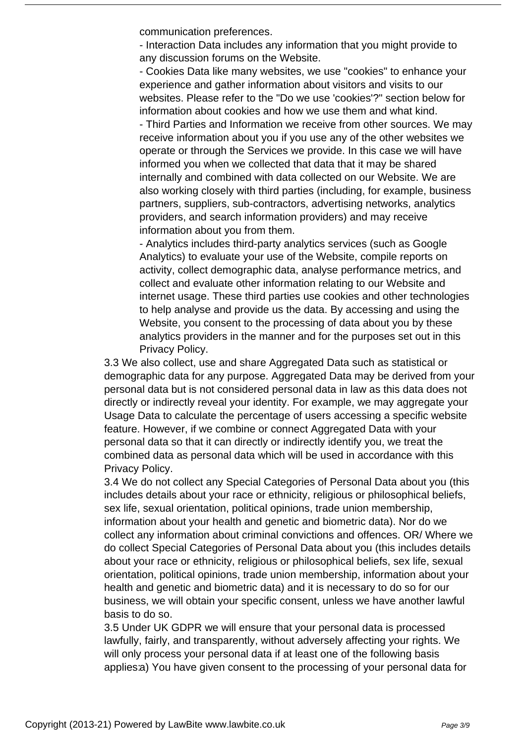communication preferences.

- Interaction Data includes any information that you might provide to any discussion forums on the Website.

- Cookies Data like many websites, we use "cookies" to enhance your experience and gather information about visitors and visits to our websites. Please refer to the "Do we use 'cookies'?" section below for information about cookies and how we use them and what kind.

- Third Parties and Information we receive from other sources. We may receive information about you if you use any of the other websites we operate or through the Services we provide. In this case we will have informed you when we collected that data that it may be shared internally and combined with data collected on our Website. We are also working closely with third parties (including, for example, business partners, suppliers, sub-contractors, advertising networks, analytics providers, and search information providers) and may receive information about you from them.

- Analytics includes third-party analytics services (such as Google Analytics) to evaluate your use of the Website, compile reports on activity, collect demographic data, analyse performance metrics, and collect and evaluate other information relating to our Website and internet usage. These third parties use cookies and other technologies to help analyse and provide us the data. By accessing and using the Website, you consent to the processing of data about you by these analytics providers in the manner and for the purposes set out in this Privacy Policy.

3.3 We also collect, use and share Aggregated Data such as statistical or demographic data for any purpose. Aggregated Data may be derived from your personal data but is not considered personal data in law as this data does not directly or indirectly reveal your identity. For example, we may aggregate your Usage Data to calculate the percentage of users accessing a specific website feature. However, if we combine or connect Aggregated Data with your personal data so that it can directly or indirectly identify you, we treat the combined data as personal data which will be used in accordance with this Privacy Policy.

3.4 We do not collect any Special Categories of Personal Data about you (this includes details about your race or ethnicity, religious or philosophical beliefs, sex life, sexual orientation, political opinions, trade union membership, information about your health and genetic and biometric data). Nor do we collect any information about criminal convictions and offences. OR/ Where we do collect Special Categories of Personal Data about you (this includes details about your race or ethnicity, religious or philosophical beliefs, sex life, sexual orientation, political opinions, trade union membership, information about your health and genetic and biometric data) and it is necessary to do so for our business, we will obtain your specific consent, unless we have another lawful basis to do so.

3.5 Under UK GDPR we will ensure that your personal data is processed lawfully, fairly, and transparently, without adversely affecting your rights. We will only process your personal data if at least one of the following basis applies:a) You have given consent to the processing of your personal data for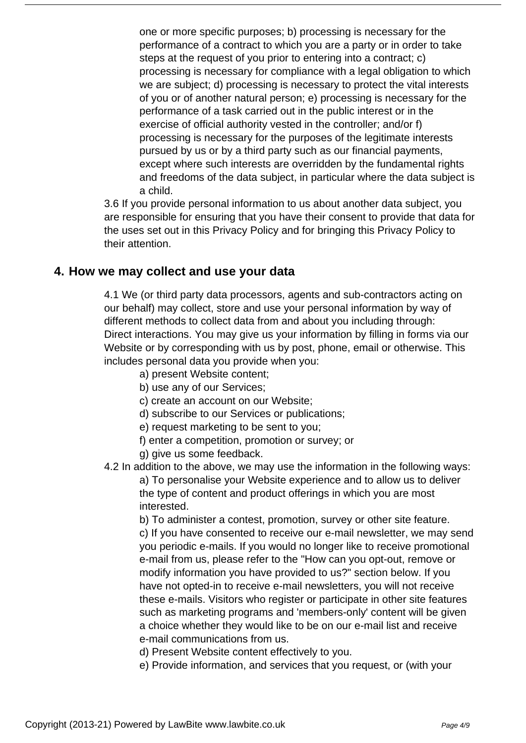one or more specific purposes; b) processing is necessary for the performance of a contract to which you are a party or in order to take steps at the request of you prior to entering into a contract; c) processing is necessary for compliance with a legal obligation to which we are subject; d) processing is necessary to protect the vital interests of you or of another natural person; e) processing is necessary for the performance of a task carried out in the public interest or in the exercise of official authority vested in the controller; and/or f) processing is necessary for the purposes of the legitimate interests pursued by us or by a third party such as our financial payments, except where such interests are overridden by the fundamental rights and freedoms of the data subject, in particular where the data subject is a child.

3.6 If you provide personal information to us about another data subject, you are responsible for ensuring that you have their consent to provide that data for the uses set out in this Privacy Policy and for bringing this Privacy Policy to their attention.

#### **4. How we may collect and use your data**

4.1 We (or third party data processors, agents and sub-contractors acting on our behalf) may collect, store and use your personal information by way of different methods to collect data from and about you including through: Direct interactions. You may give us your information by filling in forms via our Website or by corresponding with us by post, phone, email or otherwise. This includes personal data you provide when you:

- a) present Website content;
- b) use any of our Services;
- c) create an account on our Website;
- d) subscribe to our Services or publications;
- e) request marketing to be sent to you;
- f) enter a competition, promotion or survey; or
- g) give us some feedback.
- 4.2 In addition to the above, we may use the information in the following ways:

a) To personalise your Website experience and to allow us to deliver the type of content and product offerings in which you are most interested.

b) To administer a contest, promotion, survey or other site feature. c) If you have consented to receive our e-mail newsletter, we may send you periodic e-mails. If you would no longer like to receive promotional e-mail from us, please refer to the "How can you opt-out, remove or modify information you have provided to us?" section below. If you have not opted-in to receive e-mail newsletters, you will not receive these e-mails. Visitors who register or participate in other site features such as marketing programs and 'members-only' content will be given a choice whether they would like to be on our e-mail list and receive e-mail communications from us.

d) Present Website content effectively to you.

e) Provide information, and services that you request, or (with your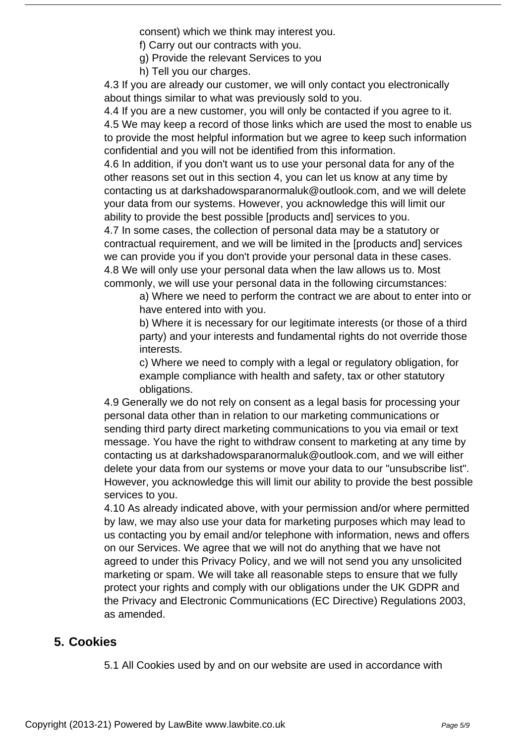consent) which we think may interest you.

- f) Carry out our contracts with you.
- g) Provide the relevant Services to you
- h) Tell you our charges.

4.3 If you are already our customer, we will only contact you electronically about things similar to what was previously sold to you.

4.4 If you are a new customer, you will only be contacted if you agree to it. 4.5 We may keep a record of those links which are used the most to enable us to provide the most helpful information but we agree to keep such information confidential and you will not be identified from this information.

4.6 In addition, if you don't want us to use your personal data for any of the other reasons set out in this section 4, you can let us know at any time by contacting us at darkshadowsparanormaluk@outlook.com, and we will delete your data from our systems. However, you acknowledge this will limit our ability to provide the best possible [products and] services to you.

4.7 In some cases, the collection of personal data may be a statutory or contractual requirement, and we will be limited in the [products and] services we can provide you if you don't provide your personal data in these cases. 4.8 We will only use your personal data when the law allows us to. Most commonly, we will use your personal data in the following circumstances:

a) Where we need to perform the contract we are about to enter into or have entered into with you.

b) Where it is necessary for our legitimate interests (or those of a third party) and your interests and fundamental rights do not override those interests.

c) Where we need to comply with a legal or regulatory obligation, for example compliance with health and safety, tax or other statutory obligations.

4.9 Generally we do not rely on consent as a legal basis for processing your personal data other than in relation to our marketing communications or sending third party direct marketing communications to you via email or text message. You have the right to withdraw consent to marketing at any time by contacting us at darkshadowsparanormaluk@outlook.com, and we will either delete your data from our systems or move your data to our "unsubscribe list". However, you acknowledge this will limit our ability to provide the best possible services to you.

4.10 As already indicated above, with your permission and/or where permitted by law, we may also use your data for marketing purposes which may lead to us contacting you by email and/or telephone with information, news and offers on our Services. We agree that we will not do anything that we have not agreed to under this Privacy Policy, and we will not send you any unsolicited marketing or spam. We will take all reasonable steps to ensure that we fully protect your rights and comply with our obligations under the UK GDPR and the Privacy and Electronic Communications (EC Directive) Regulations 2003, as amended.

# **5. Cookies**

5.1 All Cookies used by and on our website are used in accordance with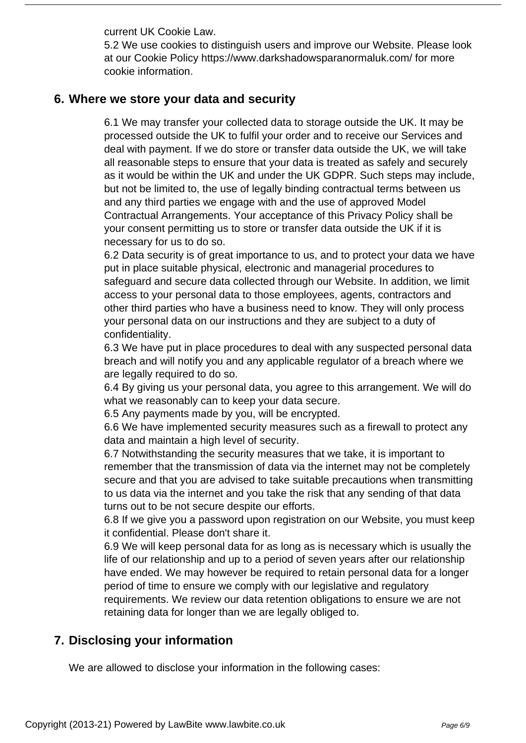current UK Cookie Law.

5.2 We use cookies to distinguish users and improve our Website. Please look at our Cookie Policy https://www.darkshadowsparanormaluk.com/ for more cookie information.

#### **6. Where we store your data and security**

6.1 We may transfer your collected data to storage outside the UK. It may be processed outside the UK to fulfil your order and to receive our Services and deal with payment. If we do store or transfer data outside the UK, we will take all reasonable steps to ensure that your data is treated as safely and securely as it would be within the UK and under the UK GDPR. Such steps may include, but not be limited to, the use of legally binding contractual terms between us and any third parties we engage with and the use of approved Model Contractual Arrangements. Your acceptance of this Privacy Policy shall be your consent permitting us to store or transfer data outside the UK if it is necessary for us to do so.

6.2 Data security is of great importance to us, and to protect your data we have put in place suitable physical, electronic and managerial procedures to safeguard and secure data collected through our Website. In addition, we limit access to your personal data to those employees, agents, contractors and other third parties who have a business need to know. They will only process your personal data on our instructions and they are subject to a duty of confidentiality.

6.3 We have put in place procedures to deal with any suspected personal data breach and will notify you and any applicable regulator of a breach where we are legally required to do so.

6.4 By giving us your personal data, you agree to this arrangement. We will do what we reasonably can to keep your data secure.

6.5 Any payments made by you, will be encrypted.

6.6 We have implemented security measures such as a firewall to protect any data and maintain a high level of security.

6.7 Notwithstanding the security measures that we take, it is important to remember that the transmission of data via the internet may not be completely secure and that you are advised to take suitable precautions when transmitting to us data via the internet and you take the risk that any sending of that data turns out to be not secure despite our efforts.

6.8 If we give you a password upon registration on our Website, you must keep it confidential. Please don't share it.

6.9 We will keep personal data for as long as is necessary which is usually the life of our relationship and up to a period of seven years after our relationship have ended. We may however be required to retain personal data for a longer period of time to ensure we comply with our legislative and regulatory requirements. We review our data retention obligations to ensure we are not retaining data for longer than we are legally obliged to.

# **7. Disclosing your information**

We are allowed to disclose your information in the following cases: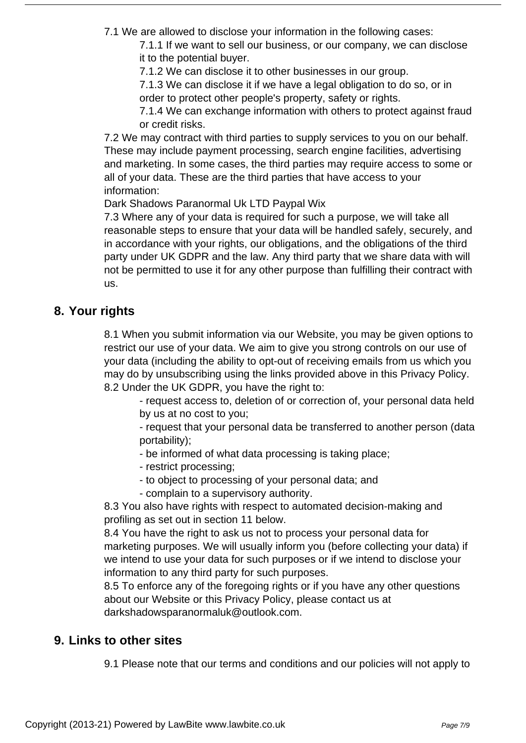7.1 We are allowed to disclose your information in the following cases:

7.1.1 If we want to sell our business, or our company, we can disclose it to the potential buyer.

7.1.2 We can disclose it to other businesses in our group.

7.1.3 We can disclose it if we have a legal obligation to do so, or in order to protect other people's property, safety or rights.

7.1.4 We can exchange information with others to protect against fraud or credit risks.

7.2 We may contract with third parties to supply services to you on our behalf. These may include payment processing, search engine facilities, advertising and marketing. In some cases, the third parties may require access to some or all of your data. These are the third parties that have access to your information:

Dark Shadows Paranormal Uk LTD Paypal Wix

7.3 Where any of your data is required for such a purpose, we will take all reasonable steps to ensure that your data will be handled safely, securely, and in accordance with your rights, our obligations, and the obligations of the third party under UK GDPR and the law. Any third party that we share data with will not be permitted to use it for any other purpose than fulfilling their contract with us.

# **8. Your rights**

8.1 When you submit information via our Website, you may be given options to restrict our use of your data. We aim to give you strong controls on our use of your data (including the ability to opt-out of receiving emails from us which you may do by unsubscribing using the links provided above in this Privacy Policy. 8.2 Under the UK GDPR, you have the right to:

- request access to, deletion of or correction of, your personal data held by us at no cost to you;

- request that your personal data be transferred to another person (data portability);

- be informed of what data processing is taking place;

- restrict processing;
- to object to processing of your personal data; and
- complain to a supervisory authority.

8.3 You also have rights with respect to automated decision-making and profiling as set out in section 11 below.

8.4 You have the right to ask us not to process your personal data for marketing purposes. We will usually inform you (before collecting your data) if we intend to use your data for such purposes or if we intend to disclose your information to any third party for such purposes.

8.5 To enforce any of the foregoing rights or if you have any other questions about our Website or this Privacy Policy, please contact us at darkshadowsparanormaluk@outlook.com.

# **9. Links to other sites**

9.1 Please note that our terms and conditions and our policies will not apply to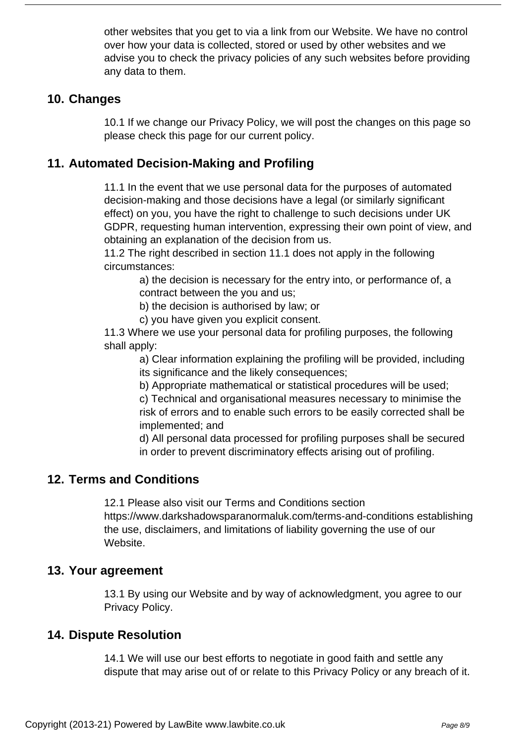other websites that you get to via a link from our Website. We have no control over how your data is collected, stored or used by other websites and we advise you to check the privacy policies of any such websites before providing any data to them.

#### **10. Changes**

10.1 If we change our Privacy Policy, we will post the changes on this page so please check this page for our current policy.

# **11. Automated Decision-Making and Profiling**

11.1 In the event that we use personal data for the purposes of automated decision-making and those decisions have a legal (or similarly significant effect) on you, you have the right to challenge to such decisions under UK GDPR, requesting human intervention, expressing their own point of view, and obtaining an explanation of the decision from us.

11.2 The right described in section 11.1 does not apply in the following circumstances:

> a) the decision is necessary for the entry into, or performance of, a contract between the you and us;

b) the decision is authorised by law; or

c) you have given you explicit consent.

11.3 Where we use your personal data for profiling purposes, the following shall apply:

> a) Clear information explaining the profiling will be provided, including its significance and the likely consequences;

b) Appropriate mathematical or statistical procedures will be used;

c) Technical and organisational measures necessary to minimise the risk of errors and to enable such errors to be easily corrected shall be implemented; and

d) All personal data processed for profiling purposes shall be secured in order to prevent discriminatory effects arising out of profiling.

# **12. Terms and Conditions**

12.1 Please also visit our Terms and Conditions section https://www.darkshadowsparanormaluk.com/terms-and-conditions establishing the use, disclaimers, and limitations of liability governing the use of our Website.

#### **13. Your agreement**

13.1 By using our Website and by way of acknowledgment, you agree to our Privacy Policy.

#### **14. Dispute Resolution**

14.1 We will use our best efforts to negotiate in good faith and settle any dispute that may arise out of or relate to this Privacy Policy or any breach of it.